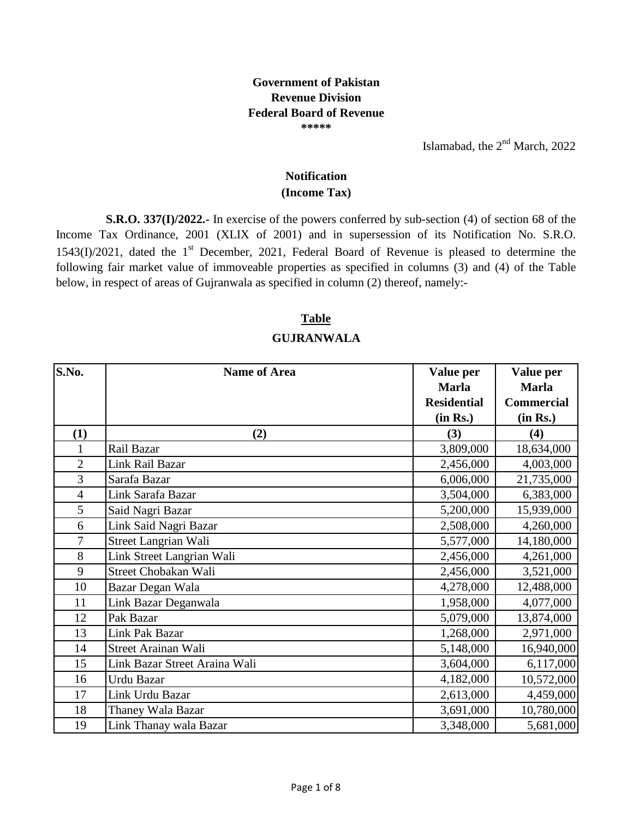## **Government of Pakistan Revenue Division Federal Board of Revenue \*\*\*\*\***

Islamabad, the  $2<sup>nd</sup>$  March, 2022

## **(Income Tax) Notification**

**S.R.O. 337(I)/2022.-** In exercise of the powers conferred by sub-section (4) of section 68 of the Income Tax Ordinance, 2001 (XLIX of 2001) and in supersession of its Notification No. S.R.O.  $1543(I)/2021$ , dated the 1<sup>st</sup> December, 2021, Federal Board of Revenue is pleased to determine the following fair market value of immoveable properties as specified in columns (3) and (4) of the Table below, in respect of areas of Gujranwala as specified in column (2) thereof, namely:-

## **Table**

## **GUJRANWALA**

| S.No.          | <b>Name of Area</b>           | Value per          | Value per         |
|----------------|-------------------------------|--------------------|-------------------|
|                |                               | <b>Marla</b>       | <b>Marla</b>      |
|                |                               | <b>Residential</b> | <b>Commercial</b> |
|                |                               | (in Rs.)           | (in Rs.)          |
| (1)            | (2)                           | (3)                | (4)               |
|                | Rail Bazar                    | 3,809,000          | 18,634,000        |
| $\overline{2}$ | <b>Link Rail Bazar</b>        | 2,456,000          | 4,003,000         |
| 3              | Sarafa Bazar                  | 6,006,000          | 21,735,000        |
| $\overline{4}$ | Link Sarafa Bazar             | 3,504,000          | 6,383,000         |
| 5              | Said Nagri Bazar              | 5,200,000          | 15,939,000        |
| 6              | Link Said Nagri Bazar         | 2,508,000          | 4,260,000         |
| $\overline{7}$ | Street Langrian Wali          | 5,577,000          | 14,180,000        |
| 8              | Link Street Langrian Wali     | 2,456,000          | 4,261,000         |
| 9              | Street Chobakan Wali          | 2,456,000          | 3,521,000         |
| 10             | Bazar Degan Wala              | 4,278,000          | 12,488,000        |
| 11             | Link Bazar Deganwala          | 1,958,000          | 4,077,000         |
| 12             | Pak Bazar                     | 5,079,000          | 13,874,000        |
| 13             | Link Pak Bazar                | 1,268,000          | 2,971,000         |
| 14             | Street Arainan Wali           | 5,148,000          | 16,940,000        |
| 15             | Link Bazar Street Araina Wali | 3,604,000          | 6,117,000         |
| 16             | Urdu Bazar                    | 4,182,000          | 10,572,000        |
| 17             | Link Urdu Bazar               | 2,613,000          | 4,459,000         |
| 18             | Thaney Wala Bazar             | 3,691,000          | 10,780,000        |
| 19             | Link Thanay wala Bazar        | 3,348,000          | 5,681,000         |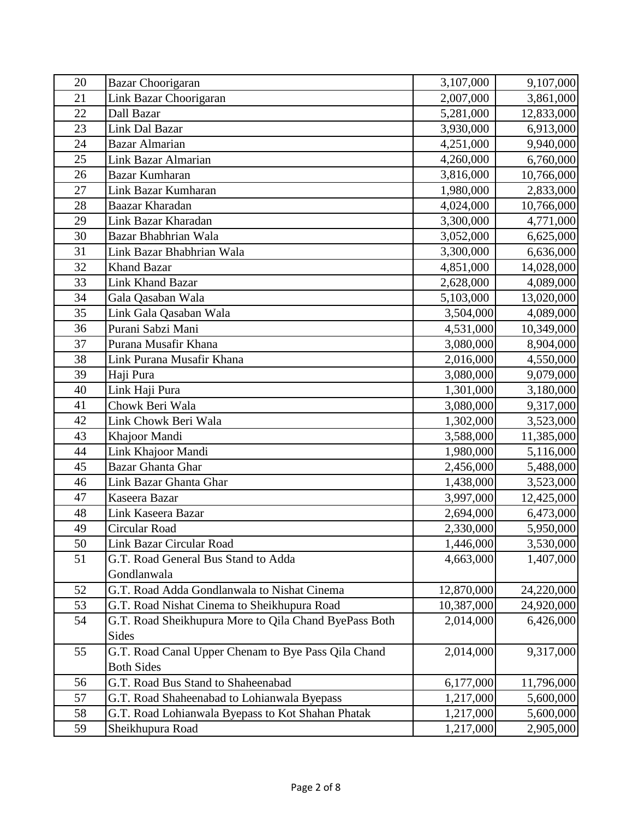| 20 | <b>Bazar Choorigaran</b>                              | 3,107,000  | 9,107,000  |
|----|-------------------------------------------------------|------------|------------|
| 21 | Link Bazar Choorigaran                                | 2,007,000  | 3,861,000  |
| 22 | Dall Bazar                                            | 5,281,000  | 12,833,000 |
| 23 | Link Dal Bazar                                        | 3,930,000  | 6,913,000  |
| 24 | <b>Bazar Almarian</b>                                 | 4,251,000  | 9,940,000  |
| 25 | Link Bazar Almarian                                   | 4,260,000  | 6,760,000  |
| 26 | <b>Bazar Kumharan</b>                                 | 3,816,000  | 10,766,000 |
| 27 | Link Bazar Kumharan                                   | 1,980,000  | 2,833,000  |
| 28 | Baazar Kharadan                                       | 4,024,000  | 10,766,000 |
| 29 | Link Bazar Kharadan                                   | 3,300,000  | 4,771,000  |
| 30 | Bazar Bhabhrian Wala                                  | 3,052,000  | 6,625,000  |
| 31 | Link Bazar Bhabhrian Wala                             | 3,300,000  | 6,636,000  |
| 32 | <b>Khand Bazar</b>                                    | 4,851,000  | 14,028,000 |
| 33 | Link Khand Bazar                                      | 2,628,000  | 4,089,000  |
| 34 | Gala Qasaban Wala                                     | 5,103,000  | 13,020,000 |
| 35 | Link Gala Qasaban Wala                                | 3,504,000  | 4,089,000  |
| 36 | Purani Sabzi Mani                                     | 4,531,000  | 10,349,000 |
| 37 | Purana Musafir Khana                                  | 3,080,000  | 8,904,000  |
| 38 | Link Purana Musafir Khana                             | 2,016,000  | 4,550,000  |
| 39 | Haji Pura                                             | 3,080,000  | 9,079,000  |
| 40 | Link Haji Pura                                        | 1,301,000  | 3,180,000  |
| 41 | Chowk Beri Wala                                       | 3,080,000  | 9,317,000  |
| 42 | Link Chowk Beri Wala                                  | 1,302,000  | 3,523,000  |
| 43 | Khajoor Mandi                                         | 3,588,000  | 11,385,000 |
| 44 | Link Khajoor Mandi                                    | 1,980,000  | 5,116,000  |
| 45 | <b>Bazar Ghanta Ghar</b>                              | 2,456,000  | 5,488,000  |
| 46 | Link Bazar Ghanta Ghar                                | 1,438,000  | 3,523,000  |
| 47 | Kaseera Bazar                                         | 3,997,000  | 12,425,000 |
| 48 | Link Kaseera Bazar                                    | 2,694,000  | 6,473,000  |
| 49 | Circular Road                                         | 2,330,000  | 5,950,000  |
| 50 | <b>Link Bazar Circular Road</b>                       | 1,446,000  | 3,530,000  |
| 51 | G.T. Road General Bus Stand to Adda                   | 4,663,000  | 1,407,000  |
|    | Gondlanwala                                           |            |            |
| 52 | G.T. Road Adda Gondlanwala to Nishat Cinema           | 12,870,000 | 24,220,000 |
| 53 | G.T. Road Nishat Cinema to Sheikhupura Road           | 10,387,000 | 24,920,000 |
| 54 | G.T. Road Sheikhupura More to Qila Chand ByePass Both | 2,014,000  | 6,426,000  |
|    | Sides                                                 |            |            |
| 55 | G.T. Road Canal Upper Chenam to Bye Pass Qila Chand   | 2,014,000  | 9,317,000  |
|    | <b>Both Sides</b>                                     |            |            |
| 56 | G.T. Road Bus Stand to Shaheenabad                    | 6,177,000  | 11,796,000 |
| 57 | G.T. Road Shaheenabad to Lohianwala Byepass           | 1,217,000  | 5,600,000  |
| 58 | G.T. Road Lohianwala Byepass to Kot Shahan Phatak     | 1,217,000  | 5,600,000  |
| 59 | Sheikhupura Road                                      | 1,217,000  | 2,905,000  |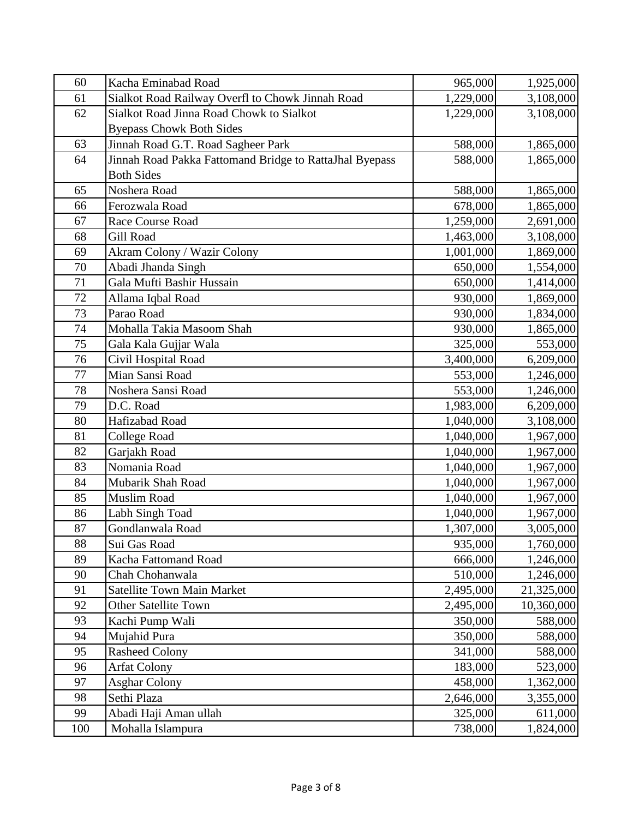| 60  | Kacha Eminabad Road                                     | 965,000   | 1,925,000  |
|-----|---------------------------------------------------------|-----------|------------|
| 61  | Sialkot Road Railway Overfl to Chowk Jinnah Road        | 1,229,000 | 3,108,000  |
| 62  | Sialkot Road Jinna Road Chowk to Sialkot                | 1,229,000 | 3,108,000  |
|     | <b>Byepass Chowk Both Sides</b>                         |           |            |
| 63  | Jinnah Road G.T. Road Sagheer Park                      | 588,000   | 1,865,000  |
| 64  | Jinnah Road Pakka Fattomand Bridge to RattaJhal Byepass | 588,000   | 1,865,000  |
|     | <b>Both Sides</b>                                       |           |            |
| 65  | Noshera Road                                            | 588,000   | 1,865,000  |
| 66  | Ferozwala Road                                          | 678,000   | 1,865,000  |
| 67  | Race Course Road                                        | 1,259,000 | 2,691,000  |
| 68  | Gill Road                                               | 1,463,000 | 3,108,000  |
| 69  | Akram Colony / Wazir Colony                             | 1,001,000 | 1,869,000  |
| 70  | Abadi Jhanda Singh                                      | 650,000   | 1,554,000  |
| 71  | Gala Mufti Bashir Hussain                               | 650,000   | 1,414,000  |
| 72  | Allama Iqbal Road                                       | 930,000   | 1,869,000  |
| 73  | Parao Road                                              | 930,000   | 1,834,000  |
| 74  | Mohalla Takia Masoom Shah                               | 930,000   | 1,865,000  |
| 75  | Gala Kala Gujjar Wala                                   | 325,000   | 553,000    |
| 76  | Civil Hospital Road                                     | 3,400,000 | 6,209,000  |
| 77  | Mian Sansi Road                                         | 553,000   | 1,246,000  |
| 78  | Noshera Sansi Road                                      | 553,000   | 1,246,000  |
| 79  | D.C. Road                                               | 1,983,000 | 6,209,000  |
| 80  | Hafizabad Road                                          | 1,040,000 | 3,108,000  |
| 81  | <b>College Road</b>                                     | 1,040,000 | 1,967,000  |
| 82  | Garjakh Road                                            | 1,040,000 | 1,967,000  |
| 83  | Nomania Road                                            | 1,040,000 | 1,967,000  |
| 84  | Mubarik Shah Road                                       | 1,040,000 | 1,967,000  |
| 85  | Muslim Road                                             | 1,040,000 | 1,967,000  |
| 86  | Labh Singh Toad                                         | 1,040,000 | 1,967,000  |
| 87  | Gondlanwala Road                                        | 1,307,000 | 3,005,000  |
| 88  | Sui Gas Road                                            | 935,000   | 1,760,000  |
| 89  | Kacha Fattomand Road                                    | 666,000   | 1,246,000  |
| 90  | Chah Chohanwala                                         | 510,000   | 1,246,000  |
| 91  | <b>Satellite Town Main Market</b>                       | 2,495,000 | 21,325,000 |
| 92  | <b>Other Satellite Town</b>                             | 2,495,000 | 10,360,000 |
| 93  | Kachi Pump Wali                                         | 350,000   | 588,000    |
| 94  | Mujahid Pura                                            | 350,000   | 588,000    |
| 95  | <b>Rasheed Colony</b>                                   | 341,000   | 588,000    |
| 96  | <b>Arfat Colony</b>                                     | 183,000   | 523,000    |
| 97  | <b>Asghar Colony</b>                                    | 458,000   | 1,362,000  |
| 98  | Sethi Plaza                                             | 2,646,000 | 3,355,000  |
| 99  | Abadi Haji Aman ullah                                   | 325,000   | 611,000    |
| 100 | Mohalla Islampura                                       | 738,000   | 1,824,000  |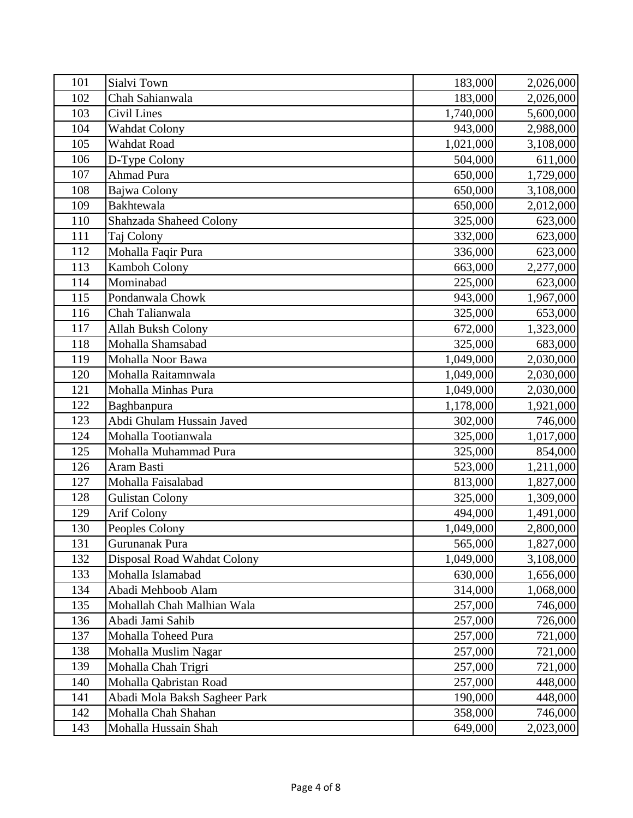| 101 | Sialvi Town                   | 183,000   | 2,026,000 |
|-----|-------------------------------|-----------|-----------|
| 102 | Chah Sahianwala               | 183,000   | 2,026,000 |
| 103 | <b>Civil Lines</b>            | 1,740,000 | 5,600,000 |
| 104 | <b>Wahdat Colony</b>          | 943,000   | 2,988,000 |
| 105 | Wahdat Road                   | 1,021,000 | 3,108,000 |
| 106 | D-Type Colony                 | 504,000   | 611,000   |
| 107 | <b>Ahmad Pura</b>             | 650,000   | 1,729,000 |
| 108 | Bajwa Colony                  | 650,000   | 3,108,000 |
| 109 | Bakhtewala                    | 650,000   | 2,012,000 |
| 110 | Shahzada Shaheed Colony       | 325,000   | 623,000   |
| 111 | Taj Colony                    | 332,000   | 623,000   |
| 112 | Mohalla Faqir Pura            | 336,000   | 623,000   |
| 113 | Kamboh Colony                 | 663,000   | 2,277,000 |
| 114 | Mominabad                     | 225,000   | 623,000   |
| 115 | Pondanwala Chowk              | 943,000   | 1,967,000 |
| 116 | Chah Talianwala               | 325,000   | 653,000   |
| 117 | <b>Allah Buksh Colony</b>     | 672,000   | 1,323,000 |
| 118 | Mohalla Shamsabad             | 325,000   | 683,000   |
| 119 | Mohalla Noor Bawa             | 1,049,000 | 2,030,000 |
| 120 | Mohalla Raitamnwala           | 1,049,000 | 2,030,000 |
| 121 | Mohalla Minhas Pura           | 1,049,000 | 2,030,000 |
| 122 | Baghbanpura                   | 1,178,000 | 1,921,000 |
| 123 | Abdi Ghulam Hussain Javed     | 302,000   | 746,000   |
| 124 | Mohalla Tootianwala           | 325,000   | 1,017,000 |
| 125 | Mohalla Muhammad Pura         | 325,000   | 854,000   |
| 126 | Aram Basti                    | 523,000   | 1,211,000 |
| 127 | Mohalla Faisalabad            | 813,000   | 1,827,000 |
| 128 | <b>Gulistan Colony</b>        | 325,000   | 1,309,000 |
| 129 | Arif Colony                   | 494,000   | 1,491,000 |
| 130 | Peoples Colony                | 1,049,000 | 2,800,000 |
| 131 | Gurunanak Pura                | 565,000   | 1,827,000 |
| 132 | Disposal Road Wahdat Colony   | 1,049,000 | 3,108,000 |
| 133 | Mohalla Islamabad             | 630,000   | 1,656,000 |
| 134 | Abadi Mehboob Alam            | 314,000   | 1,068,000 |
| 135 | Mohallah Chah Malhian Wala    | 257,000   | 746,000   |
| 136 | Abadi Jami Sahib              | 257,000   | 726,000   |
| 137 | Mohalla Toheed Pura           | 257,000   | 721,000   |
| 138 | Mohalla Muslim Nagar          | 257,000   | 721,000   |
| 139 | Mohalla Chah Trigri           | 257,000   | 721,000   |
| 140 | Mohalla Qabristan Road        | 257,000   | 448,000   |
| 141 | Abadi Mola Baksh Sagheer Park | 190,000   | 448,000   |
| 142 | Mohalla Chah Shahan           | 358,000   | 746,000   |
| 143 | Mohalla Hussain Shah          | 649,000   | 2,023,000 |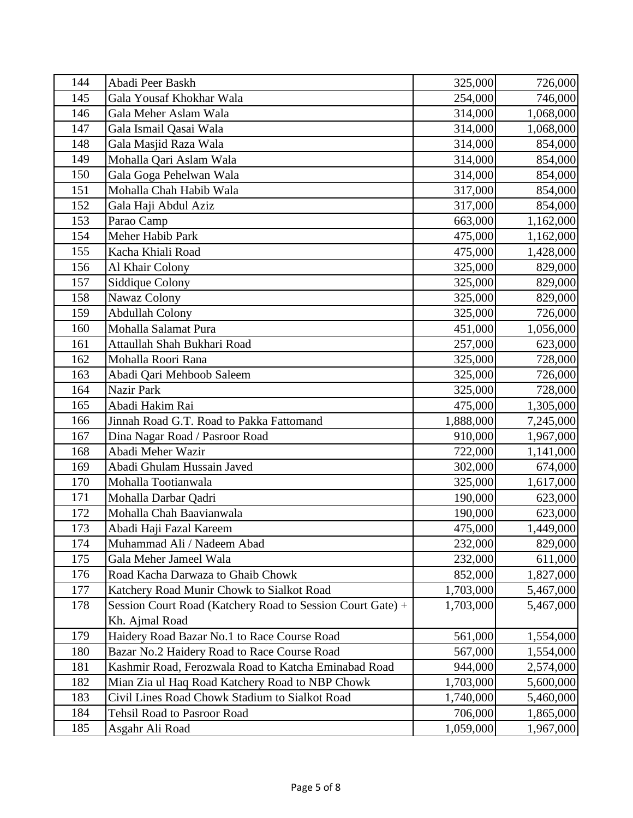| 144 | Abadi Peer Baskh                                           | 325,000   | 726,000   |
|-----|------------------------------------------------------------|-----------|-----------|
| 145 | Gala Yousaf Khokhar Wala                                   | 254,000   | 746,000   |
| 146 | Gala Meher Aslam Wala                                      | 314,000   | 1,068,000 |
| 147 | Gala Ismail Qasai Wala                                     | 314,000   | 1,068,000 |
| 148 | Gala Masjid Raza Wala                                      | 314,000   | 854,000   |
| 149 | Mohalla Qari Aslam Wala                                    | 314,000   | 854,000   |
| 150 | Gala Goga Pehelwan Wala                                    | 314,000   | 854,000   |
| 151 | Mohalla Chah Habib Wala                                    | 317,000   | 854,000   |
| 152 | Gala Haji Abdul Aziz                                       | 317,000   | 854,000   |
| 153 | Parao Camp                                                 | 663,000   | 1,162,000 |
| 154 | Meher Habib Park                                           | 475,000   | 1,162,000 |
| 155 | Kacha Khiali Road                                          | 475,000   | 1,428,000 |
| 156 | Al Khair Colony                                            | 325,000   | 829,000   |
| 157 | Siddique Colony                                            | 325,000   | 829,000   |
| 158 | Nawaz Colony                                               | 325,000   | 829,000   |
| 159 | <b>Abdullah Colony</b>                                     | 325,000   | 726,000   |
| 160 | Mohalla Salamat Pura                                       | 451,000   | 1,056,000 |
| 161 | Attaullah Shah Bukhari Road                                | 257,000   | 623,000   |
| 162 | Mohalla Roori Rana                                         | 325,000   | 728,000   |
| 163 | Abadi Qari Mehboob Saleem                                  | 325,000   | 726,000   |
| 164 | Nazir Park                                                 | 325,000   | 728,000   |
| 165 | Abadi Hakim Rai                                            | 475,000   | 1,305,000 |
| 166 | Jinnah Road G.T. Road to Pakka Fattomand                   | 1,888,000 | 7,245,000 |
| 167 | Dina Nagar Road / Pasroor Road                             | 910,000   | 1,967,000 |
| 168 | Abadi Meher Wazir                                          | 722,000   | 1,141,000 |
| 169 | Abadi Ghulam Hussain Javed                                 | 302,000   | 674,000   |
| 170 | Mohalla Tootianwala                                        | 325,000   | 1,617,000 |
| 171 | Mohalla Darbar Qadri                                       | 190,000   | 623,000   |
| 172 | Mohalla Chah Baavianwala                                   | 190,000   | 623,000   |
| 173 | Abadi Haji Fazal Kareem                                    | 475,000   | 1,449,000 |
| 174 | Muhammad Ali / Nadeem Abad                                 | 232,000   | 829,000   |
| 175 | Gala Meher Jameel Wala                                     | 232,000   | 611,000   |
| 176 | Road Kacha Darwaza to Ghaib Chowk                          | 852,000   | 1,827,000 |
| 177 | Katchery Road Munir Chowk to Sialkot Road                  | 1,703,000 | 5,467,000 |
| 178 | Session Court Road (Katchery Road to Session Court Gate) + | 1,703,000 | 5,467,000 |
|     | Kh. Ajmal Road                                             |           |           |
| 179 | Haidery Road Bazar No.1 to Race Course Road                | 561,000   | 1,554,000 |
| 180 | Bazar No.2 Haidery Road to Race Course Road                | 567,000   | 1,554,000 |
| 181 | Kashmir Road, Ferozwala Road to Katcha Eminabad Road       | 944,000   | 2,574,000 |
| 182 | Mian Zia ul Haq Road Katchery Road to NBP Chowk            | 1,703,000 | 5,600,000 |
| 183 | Civil Lines Road Chowk Stadium to Sialkot Road             | 1,740,000 | 5,460,000 |
| 184 | <b>Tehsil Road to Pasroor Road</b>                         | 706,000   | 1,865,000 |
| 185 | Asgahr Ali Road                                            | 1,059,000 | 1,967,000 |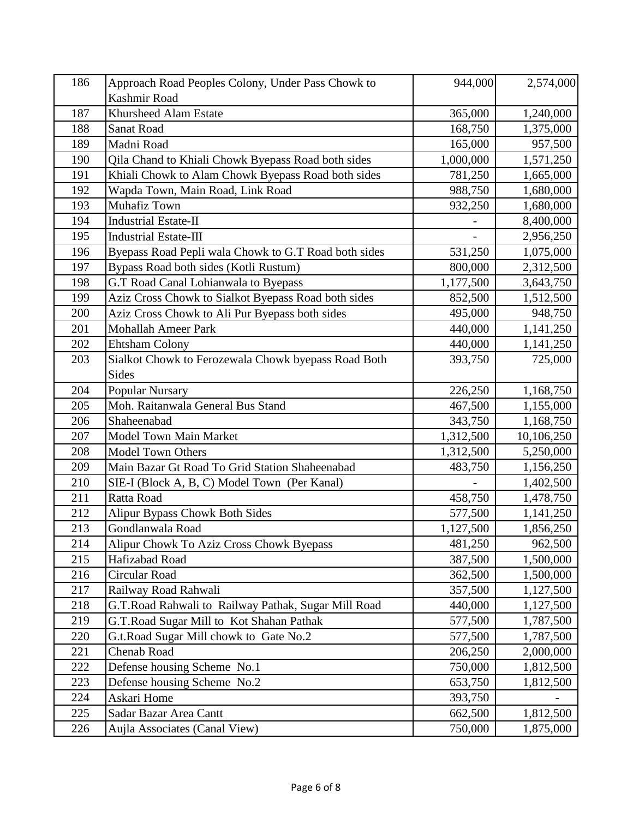| 186 | Approach Road Peoples Colony, Under Pass Chowk to    | 944,000   | 2,574,000  |
|-----|------------------------------------------------------|-----------|------------|
|     | Kashmir Road                                         |           |            |
| 187 | Khursheed Alam Estate                                | 365,000   | 1,240,000  |
| 188 | Sanat Road                                           | 168,750   | 1,375,000  |
| 189 | Madni Road                                           | 165,000   | 957,500    |
| 190 | Qila Chand to Khiali Chowk Byepass Road both sides   | 1,000,000 | 1,571,250  |
| 191 | Khiali Chowk to Alam Chowk Byepass Road both sides   | 781,250   | 1,665,000  |
| 192 | Wapda Town, Main Road, Link Road                     | 988,750   | 1,680,000  |
| 193 | <b>Muhafiz Town</b>                                  | 932,250   | 1,680,000  |
| 194 | <b>Industrial Estate-II</b>                          |           | 8,400,000  |
| 195 | <b>Industrial Estate-III</b>                         |           | 2,956,250  |
| 196 | Byepass Road Pepli wala Chowk to G.T Road both sides | 531,250   | 1,075,000  |
| 197 | Bypass Road both sides (Kotli Rustum)                | 800,000   | 2,312,500  |
| 198 | G.T Road Canal Lohianwala to Byepass                 | 1,177,500 | 3,643,750  |
| 199 | Aziz Cross Chowk to Sialkot Byepass Road both sides  | 852,500   | 1,512,500  |
| 200 | Aziz Cross Chowk to Ali Pur Byepass both sides       | 495,000   | 948,750    |
| 201 | <b>Mohallah Ameer Park</b>                           | 440,000   | 1,141,250  |
| 202 | <b>Ehtsham Colony</b>                                | 440,000   | 1,141,250  |
| 203 | Sialkot Chowk to Ferozewala Chowk byepass Road Both  | 393,750   | 725,000    |
|     | Sides                                                |           |            |
| 204 | Popular Nursary                                      | 226,250   | 1,168,750  |
| 205 | Moh. Raitanwala General Bus Stand                    | 467,500   | 1,155,000  |
| 206 | Shaheenabad                                          | 343,750   | 1,168,750  |
| 207 | Model Town Main Market                               | 1,312,500 | 10,106,250 |
| 208 | <b>Model Town Others</b>                             | 1,312,500 | 5,250,000  |
| 209 | Main Bazar Gt Road To Grid Station Shaheenabad       | 483,750   | 1,156,250  |
| 210 | SIE-I (Block A, B, C) Model Town (Per Kanal)         |           | 1,402,500  |
| 211 | Ratta Road                                           | 458,750   | 1,478,750  |
| 212 | <b>Alipur Bypass Chowk Both Sides</b>                | 577,500   | 1,141,250  |
| 213 | Gondlanwala Road                                     | 1,127,500 | 1,856,250  |
| 214 | Alipur Chowk To Aziz Cross Chowk Byepass             | 481,250   | 962,500    |
| 215 | Hafizabad Road                                       | 387,500   | 1,500,000  |
| 216 | Circular Road                                        | 362,500   | 1,500,000  |
| 217 | Railway Road Rahwali                                 | 357,500   | 1,127,500  |
| 218 | G.T.Road Rahwali to Railway Pathak, Sugar Mill Road  | 440,000   | 1,127,500  |
| 219 | G.T.Road Sugar Mill to Kot Shahan Pathak             | 577,500   | 1,787,500  |
| 220 | G.t.Road Sugar Mill chowk to Gate No.2               | 577,500   | 1,787,500  |
| 221 | <b>Chenab Road</b>                                   | 206,250   | 2,000,000  |
| 222 | Defense housing Scheme No.1                          | 750,000   | 1,812,500  |
| 223 | Defense housing Scheme No.2                          | 653,750   | 1,812,500  |
| 224 | Askari Home                                          | 393,750   |            |
| 225 | Sadar Bazar Area Cantt                               | 662,500   | 1,812,500  |
| 226 | Aujla Associates (Canal View)                        | 750,000   | 1,875,000  |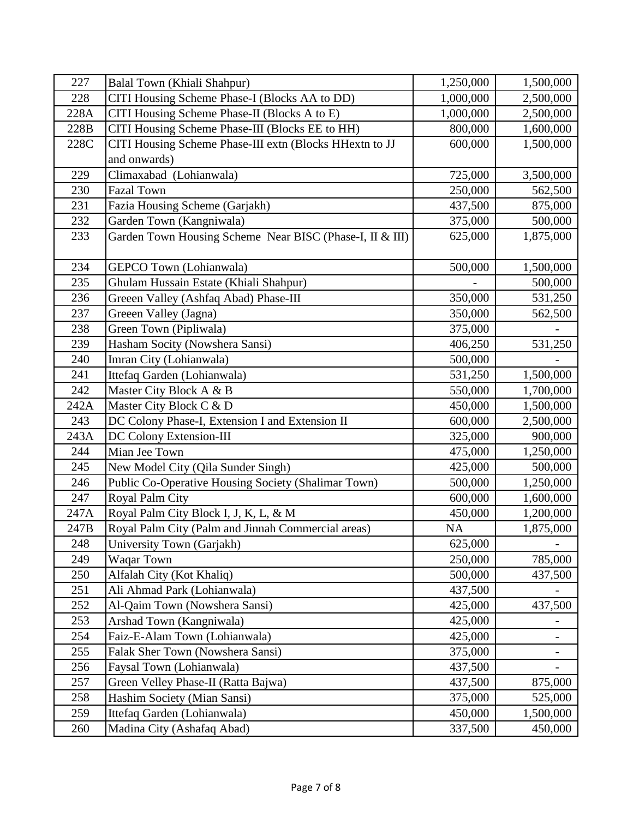| 227  | Balal Town (Khiali Shahpur)                              | 1,250,000 | 1,500,000 |
|------|----------------------------------------------------------|-----------|-----------|
| 228  | CITI Housing Scheme Phase-I (Blocks AA to DD)            | 1,000,000 | 2,500,000 |
| 228A | CITI Housing Scheme Phase-II (Blocks A to E)             | 1,000,000 | 2,500,000 |
| 228B | CITI Housing Scheme Phase-III (Blocks EE to HH)          | 800,000   | 1,600,000 |
| 228C | CITI Housing Scheme Phase-III extn (Blocks HHextn to JJ  | 600,000   | 1,500,000 |
|      | and onwards)                                             |           |           |
| 229  | Climaxabad (Lohianwala)                                  | 725,000   | 3,500,000 |
| 230  | <b>Fazal Town</b>                                        | 250,000   | 562,500   |
| 231  | Fazia Housing Scheme (Garjakh)                           | 437,500   | 875,000   |
| 232  | Garden Town (Kangniwala)                                 | 375,000   | 500,000   |
| 233  | Garden Town Housing Scheme Near BISC (Phase-I, II & III) | 625,000   | 1,875,000 |
|      |                                                          |           |           |
| 234  | GEPCO Town (Lohianwala)                                  | 500,000   | 1,500,000 |
| 235  | Ghulam Hussain Estate (Khiali Shahpur)                   |           | 500,000   |
| 236  | Greeen Valley (Ashfaq Abad) Phase-III                    | 350,000   | 531,250   |
| 237  | Greeen Valley (Jagna)                                    | 350,000   | 562,500   |
| 238  | Green Town (Pipliwala)                                   | 375,000   |           |
| 239  | Hasham Socity (Nowshera Sansi)                           | 406,250   | 531,250   |
| 240  | Imran City (Lohianwala)                                  | 500,000   |           |
| 241  | Ittefaq Garden (Lohianwala)                              | 531,250   | 1,500,000 |
| 242  | Master City Block A & B                                  | 550,000   | 1,700,000 |
| 242A | Master City Block C & D                                  | 450,000   | 1,500,000 |
| 243  | DC Colony Phase-I, Extension I and Extension II          | 600,000   | 2,500,000 |
| 243A | DC Colony Extension-III                                  | 325,000   | 900,000   |
| 244  | Mian Jee Town                                            | 475,000   | 1,250,000 |
| 245  | New Model City (Qila Sunder Singh)                       | 425,000   | 500,000   |
| 246  | Public Co-Operative Housing Society (Shalimar Town)      | 500,000   | 1,250,000 |
| 247  | Royal Palm City                                          | 600,000   | 1,600,000 |
| 247A | Royal Palm City Block I, J, K, L, & M                    | 450,000   | 1,200,000 |
| 247B | Royal Palm City (Palm and Jinnah Commercial areas)       | <b>NA</b> | 1,875,000 |
| 248  | University Town (Garjakh)                                | 625,000   |           |
| 249  | Waqar Town                                               | 250,000   | 785,000   |
| 250  | Alfalah City (Kot Khaliq)                                | 500,000   | 437,500   |
| 251  | Ali Ahmad Park (Lohianwala)                              | 437,500   |           |
| 252  | Al-Qaim Town (Nowshera Sansi)                            | 425,000   | 437,500   |
| 253  | Arshad Town (Kangniwala)                                 | 425,000   |           |
| 254  | Faiz-E-Alam Town (Lohianwala)                            | 425,000   |           |
| 255  | Falak Sher Town (Nowshera Sansi)                         | 375,000   | -         |
| 256  | Faysal Town (Lohianwala)                                 | 437,500   |           |
| 257  | Green Velley Phase-II (Ratta Bajwa)                      | 437,500   | 875,000   |
| 258  | Hashim Society (Mian Sansi)                              | 375,000   | 525,000   |
| 259  | Ittefaq Garden (Lohianwala)                              | 450,000   | 1,500,000 |
| 260  | Madina City (Ashafaq Abad)                               | 337,500   | 450,000   |